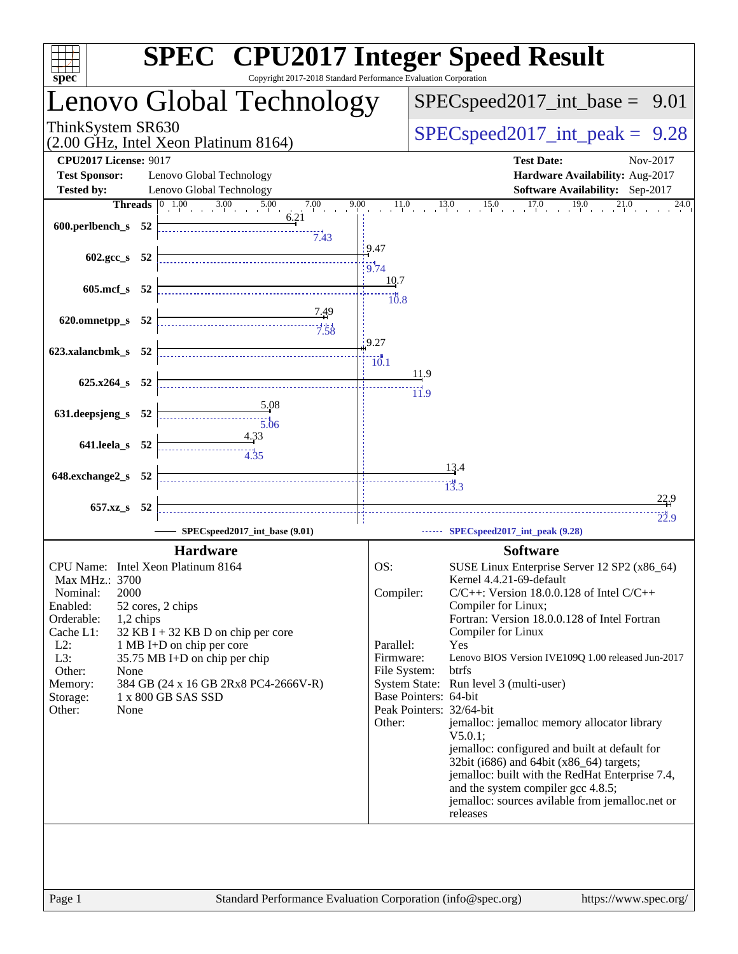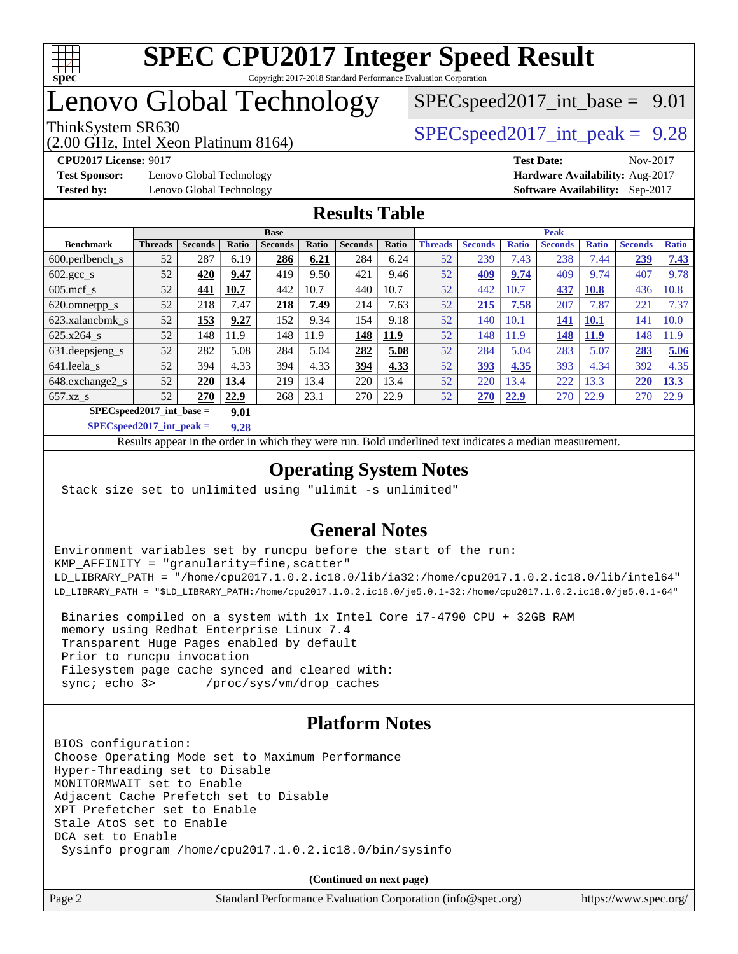

# Lenovo Global Technology

(2.00 GHz, Intel Xeon Platinum 8164)

ThinkSystem SR630  $SPEC speed2017$  int peak = 9.28  $SPECspeed2017\_int\_base = 9.01$ 

**[Test Sponsor:](http://www.spec.org/auto/cpu2017/Docs/result-fields.html#TestSponsor)** Lenovo Global Technology **[Hardware Availability:](http://www.spec.org/auto/cpu2017/Docs/result-fields.html#HardwareAvailability)** Aug-2017 **[Tested by:](http://www.spec.org/auto/cpu2017/Docs/result-fields.html#Testedby)** Lenovo Global Technology **[Software Availability:](http://www.spec.org/auto/cpu2017/Docs/result-fields.html#SoftwareAvailability)** Sep-2017

**[CPU2017 License:](http://www.spec.org/auto/cpu2017/Docs/result-fields.html#CPU2017License)** 9017 **[Test Date:](http://www.spec.org/auto/cpu2017/Docs/result-fields.html#TestDate)** Nov-2017

## **[Results Table](http://www.spec.org/auto/cpu2017/Docs/result-fields.html#ResultsTable)**

|                                    | <b>Base</b>    |                |       |                |       |                |       | <b>Peak</b>    |                |              |                |              |                |              |
|------------------------------------|----------------|----------------|-------|----------------|-------|----------------|-------|----------------|----------------|--------------|----------------|--------------|----------------|--------------|
| <b>Benchmark</b>                   | <b>Threads</b> | <b>Seconds</b> | Ratio | <b>Seconds</b> | Ratio | <b>Seconds</b> | Ratio | <b>Threads</b> | <b>Seconds</b> | <b>Ratio</b> | <b>Seconds</b> | <b>Ratio</b> | <b>Seconds</b> | <b>Ratio</b> |
| $600.$ perlbench $\mathsf{S}$      | 52             | 287            | 6.19  | 286            | 6.21  | 284            | 6.24  | 52             | 239            | 7.43         | 238            | 7.44         | 239            | 7.43         |
| $602.\text{gcc}\_\text{s}$         | 52             | 420            | 9.47  | 419            | 9.50  | 421            | 9.46  | 52             | 409            | 9.74         | 409            | 9.74         | 407            | 9.78         |
| $605$ .mcf s                       | 52             | 441            | 10.7  | 442            | 10.7  | 440            | 10.7  | 52             | 442            | 10.7         | 437            | <b>10.8</b>  | 436            | 10.8         |
| 620.omnetpp_s                      | 52             | 218            | 7.47  | 218            | 7.49  | 214            | 7.63  | 52             | 215            | 7.58         | 207            | 7.87         | 221            | 7.37         |
| 623.xalancbmk s                    | 52             | 153            | 9.27  | 152            | 9.34  | 154            | 9.18  | 52             | 140            | 10.1         | 141            | <b>10.1</b>  | 141            | 10.0         |
| $625.x264$ s                       | 52             | 148            | 11.9  | 148            | 11.9  | 148            | 11.9  | 52             | 148            | 11.9         | 148            | 11.9         | 148            | 1.9          |
| 631.deepsjeng_s                    | 52             | 282            | 5.08  | 284            | 5.04  | 282            | 5.08  | 52             | 284            | 5.04         | 283            | 5.07         | 283            | 5.06         |
| 641.leela s                        | 52             | 394            | 4.33  | 394            | 4.33  | 394            | 4.33  | 52             | 393            | 4.35         | 393            | 4.34         | 392            | 4.35         |
| 648.exchange2_s                    | 52             | 220            | 13.4  | 219            | 13.4  | 220            | 13.4  | 52             | 220            | 13.4         | 222            | 13.3         | 220            | 13.3         |
| $657.xz$ s                         | 52             | 270            | 22.9  | 268            | 23.1  | 270            | 22.9  | 52             | <b>270</b>     | 22.9         | 270            | 22.9         | 270            | 22.9         |
| $SPECspeed2017$ int base =<br>9.01 |                |                |       |                |       |                |       |                |                |              |                |              |                |              |

**[SPECspeed2017\\_int\\_peak =](http://www.spec.org/auto/cpu2017/Docs/result-fields.html#SPECspeed2017intpeak) 9.28**

Results appear in the [order in which they were run.](http://www.spec.org/auto/cpu2017/Docs/result-fields.html#RunOrder) Bold underlined text [indicates a median measurement](http://www.spec.org/auto/cpu2017/Docs/result-fields.html#Median).

## **[Operating System Notes](http://www.spec.org/auto/cpu2017/Docs/result-fields.html#OperatingSystemNotes)**

Stack size set to unlimited using "ulimit -s unlimited"

## **[General Notes](http://www.spec.org/auto/cpu2017/Docs/result-fields.html#GeneralNotes)**

Environment variables set by runcpu before the start of the run: KMP\_AFFINITY = "granularity=fine,scatter" LD\_LIBRARY\_PATH = "/home/cpu2017.1.0.2.ic18.0/lib/ia32:/home/cpu2017.1.0.2.ic18.0/lib/intel64" LD\_LIBRARY\_PATH = "\$LD\_LIBRARY\_PATH:/home/cpu2017.1.0.2.ic18.0/je5.0.1-32:/home/cpu2017.1.0.2.ic18.0/je5.0.1-64"

 Binaries compiled on a system with 1x Intel Core i7-4790 CPU + 32GB RAM memory using Redhat Enterprise Linux 7.4 Transparent Huge Pages enabled by default Prior to runcpu invocation Filesystem page cache synced and cleared with: sync; echo 3> /proc/sys/vm/drop\_caches

## **[Platform Notes](http://www.spec.org/auto/cpu2017/Docs/result-fields.html#PlatformNotes)**

BIOS configuration: Choose Operating Mode set to Maximum Performance Hyper-Threading set to Disable MONITORMWAIT set to Enable Adjacent Cache Prefetch set to Disable XPT Prefetcher set to Enable Stale AtoS set to Enable DCA set to Enable Sysinfo program /home/cpu2017.1.0.2.ic18.0/bin/sysinfo

**(Continued on next page)**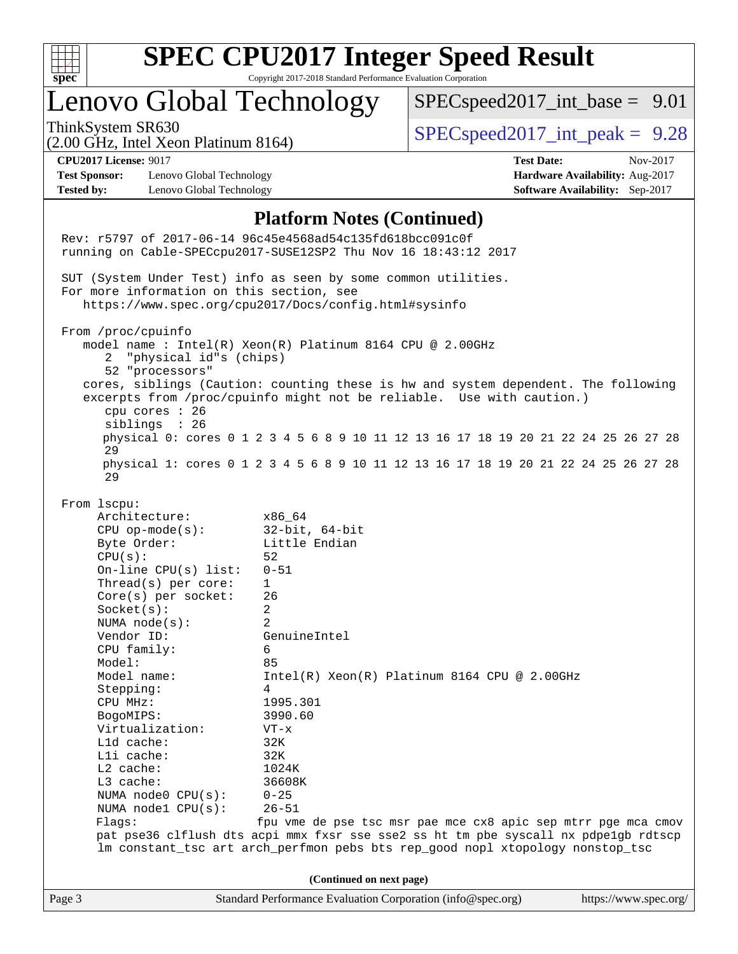

# Lenovo Global Technology

 $SPECspeed2017\_int\_base = 9.01$ 

ThinkSystem SR630  $SPEC speed2017$  int peak = 9.28

# (2.00 GHz, Intel Xeon Platinum 8164)

**[Test Sponsor:](http://www.spec.org/auto/cpu2017/Docs/result-fields.html#TestSponsor)** Lenovo Global Technology **[Hardware Availability:](http://www.spec.org/auto/cpu2017/Docs/result-fields.html#HardwareAvailability)** Aug-2017 **[Tested by:](http://www.spec.org/auto/cpu2017/Docs/result-fields.html#Testedby)** Lenovo Global Technology **[Software Availability:](http://www.spec.org/auto/cpu2017/Docs/result-fields.html#SoftwareAvailability)** Sep-2017

**[CPU2017 License:](http://www.spec.org/auto/cpu2017/Docs/result-fields.html#CPU2017License)** 9017 **[Test Date:](http://www.spec.org/auto/cpu2017/Docs/result-fields.html#TestDate)** Nov-2017

### **[Platform Notes \(Continued\)](http://www.spec.org/auto/cpu2017/Docs/result-fields.html#PlatformNotes)**

Page 3 Standard Performance Evaluation Corporation [\(info@spec.org\)](mailto:info@spec.org) <https://www.spec.org/> Rev: r5797 of 2017-06-14 96c45e4568ad54c135fd618bcc091c0f running on Cable-SPECcpu2017-SUSE12SP2 Thu Nov 16 18:43:12 2017 SUT (System Under Test) info as seen by some common utilities. For more information on this section, see <https://www.spec.org/cpu2017/Docs/config.html#sysinfo> From /proc/cpuinfo model name : Intel(R) Xeon(R) Platinum 8164 CPU @ 2.00GHz 2 "physical id"s (chips) 52 "processors" cores, siblings (Caution: counting these is hw and system dependent. The following excerpts from /proc/cpuinfo might not be reliable. Use with caution.) cpu cores : 26 siblings : 26 physical 0: cores 0 1 2 3 4 5 6 8 9 10 11 12 13 16 17 18 19 20 21 22 24 25 26 27 28 29 physical 1: cores 0 1 2 3 4 5 6 8 9 10 11 12 13 16 17 18 19 20 21 22 24 25 26 27 28 29 From lscpu: Architecture: x86\_64 CPU op-mode(s): 32-bit, 64-bit Byte Order: Little Endian  $CPU(s):$  52 On-line CPU(s) list: 0-51 Thread(s) per core: 1 Core(s) per socket: 26 Socket(s): 2 NUMA node(s): 2 Vendor ID: GenuineIntel CPU family: 6 Model: 85 Model name: Intel(R) Xeon(R) Platinum 8164 CPU @ 2.00GHz Stepping: 4 CPU MHz: 1995.301 BogoMIPS: 3990.60 Virtualization: VT-x L1d cache: 32K L1i cache: 32K L2 cache: 1024K L3 cache: 36608K NUMA node0 CPU(s): 0-25 NUMA node1 CPU(s): 26-51 Flags: fpu vme de pse tsc msr pae mce cx8 apic sep mtrr pge mca cmov pat pse36 clflush dts acpi mmx fxsr sse sse2 ss ht tm pbe syscall nx pdpe1gb rdtscp lm constant\_tsc art arch\_perfmon pebs bts rep\_good nopl xtopology nonstop\_tsc **(Continued on next page)**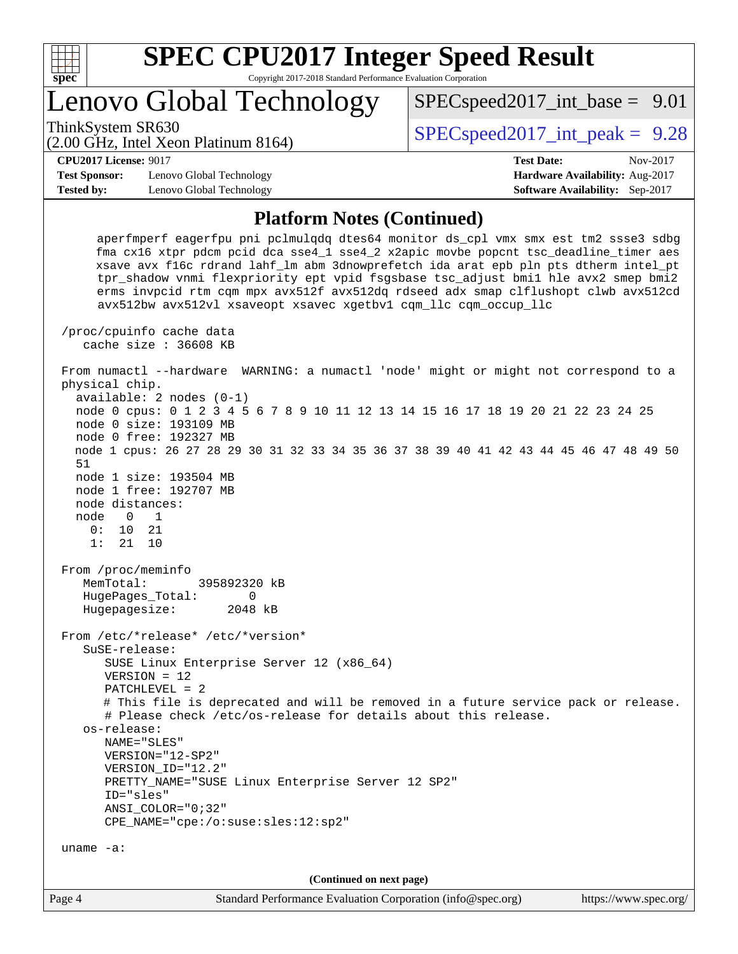

# Lenovo Global Technology

ThinkSystem SR630  $SPEC speed2017$  int peak = 9.28

 $SPECspeed2017\_int\_base = 9.01$ 

### (2.00 GHz, Intel Xeon Platinum 8164)

**[CPU2017 License:](http://www.spec.org/auto/cpu2017/Docs/result-fields.html#CPU2017License)** 9017 **[Test Date:](http://www.spec.org/auto/cpu2017/Docs/result-fields.html#TestDate)** Nov-2017

**[Test Sponsor:](http://www.spec.org/auto/cpu2017/Docs/result-fields.html#TestSponsor)** Lenovo Global Technology **[Hardware Availability:](http://www.spec.org/auto/cpu2017/Docs/result-fields.html#HardwareAvailability)** Aug-2017 **[Tested by:](http://www.spec.org/auto/cpu2017/Docs/result-fields.html#Testedby)** Lenovo Global Technology **[Software Availability:](http://www.spec.org/auto/cpu2017/Docs/result-fields.html#SoftwareAvailability)** Sep-2017

### **[Platform Notes \(Continued\)](http://www.spec.org/auto/cpu2017/Docs/result-fields.html#PlatformNotes)**

 aperfmperf eagerfpu pni pclmulqdq dtes64 monitor ds\_cpl vmx smx est tm2 ssse3 sdbg fma cx16 xtpr pdcm pcid dca sse4\_1 sse4\_2 x2apic movbe popcnt tsc\_deadline\_timer aes xsave avx f16c rdrand lahf\_lm abm 3dnowprefetch ida arat epb pln pts dtherm intel\_pt tpr\_shadow vnmi flexpriority ept vpid fsgsbase tsc\_adjust bmi1 hle avx2 smep bmi2 erms invpcid rtm cqm mpx avx512f avx512dq rdseed adx smap clflushopt clwb avx512cd avx512bw avx512vl xsaveopt xsavec xgetbv1 cqm\_llc cqm\_occup\_llc

 /proc/cpuinfo cache data cache size : 36608 KB

 From numactl --hardware WARNING: a numactl 'node' might or might not correspond to a physical chip. available: 2 nodes (0-1)

 node 0 cpus: 0 1 2 3 4 5 6 7 8 9 10 11 12 13 14 15 16 17 18 19 20 21 22 23 24 25 node 0 size: 193109 MB node 0 free: 192327 MB

 node 1 cpus: 26 27 28 29 30 31 32 33 34 35 36 37 38 39 40 41 42 43 44 45 46 47 48 49 50 51

 node 1 size: 193504 MB node 1 free: 192707 MB node distances:

 node 0 1 0: 10 21 1: 21 10

 From /proc/meminfo MemTotal: 395892320 kB HugePages\_Total: 0 Hugepagesize: 2048 kB

 From /etc/\*release\* /etc/\*version\* SuSE-release: SUSE Linux Enterprise Server 12 (x86\_64)

 VERSION = 12 PATCHLEVEL = 2

 # This file is deprecated and will be removed in a future service pack or release. # Please check /etc/os-release for details about this release.

 os-release: NAME="SLES"

```
 VERSION="12-SP2"
VERSION_ID="12.2"
```

```
 PRETTY_NAME="SUSE Linux Enterprise Server 12 SP2"
```
 ID="sles" ANSI\_COLOR="0;32"

```
 CPE_NAME="cpe:/o:suse:sles:12:sp2"
```
uname -a:

**(Continued on next page)**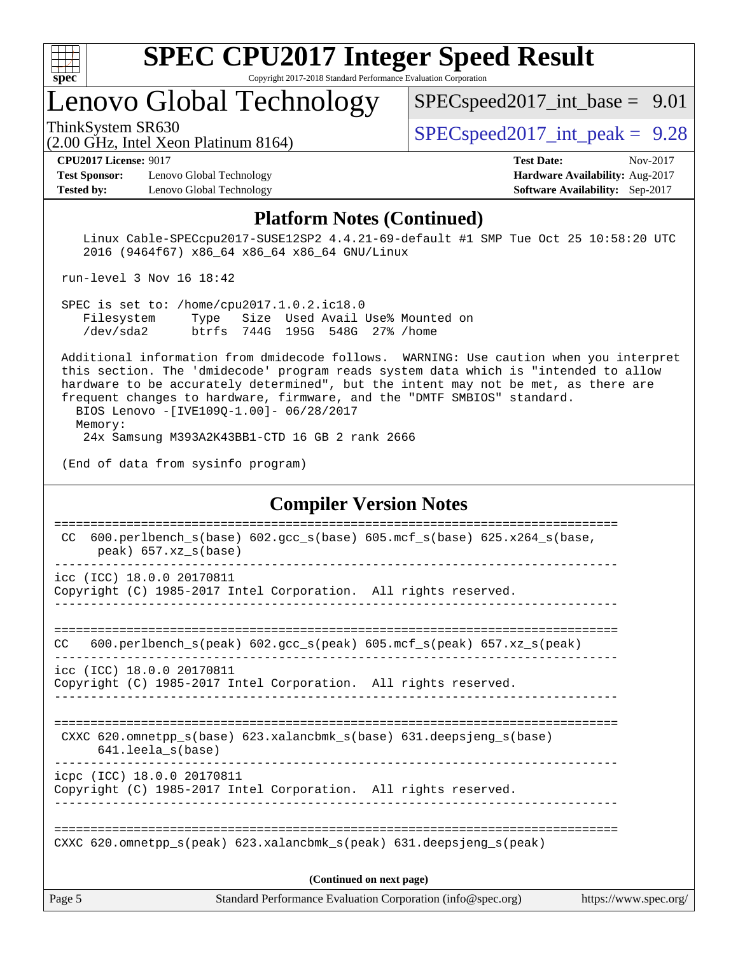

## Lenovo Global Technology

 $SPECspeed2017\_int\_base = 9.01$ 

(2.00 GHz, Intel Xeon Platinum 8164)

ThinkSystem SR630  $SPEC speed2017$  int peak = 9.28

**[Test Sponsor:](http://www.spec.org/auto/cpu2017/Docs/result-fields.html#TestSponsor)** Lenovo Global Technology **[Hardware Availability:](http://www.spec.org/auto/cpu2017/Docs/result-fields.html#HardwareAvailability)** Aug-2017 **[Tested by:](http://www.spec.org/auto/cpu2017/Docs/result-fields.html#Testedby)** Lenovo Global Technology **[Software Availability:](http://www.spec.org/auto/cpu2017/Docs/result-fields.html#SoftwareAvailability)** Sep-2017

**[CPU2017 License:](http://www.spec.org/auto/cpu2017/Docs/result-fields.html#CPU2017License)** 9017 **[Test Date:](http://www.spec.org/auto/cpu2017/Docs/result-fields.html#TestDate)** Nov-2017

### **[Platform Notes \(Continued\)](http://www.spec.org/auto/cpu2017/Docs/result-fields.html#PlatformNotes)**

 Linux Cable-SPECcpu2017-SUSE12SP2 4.4.21-69-default #1 SMP Tue Oct 25 10:58:20 UTC 2016 (9464f67) x86\_64 x86\_64 x86\_64 GNU/Linux

run-level 3 Nov 16 18:42

 SPEC is set to: /home/cpu2017.1.0.2.ic18.0 Filesystem Type Size Used Avail Use% Mounted on /dev/sda2 btrfs 744G 195G 548G 27% /home

 Additional information from dmidecode follows. WARNING: Use caution when you interpret this section. The 'dmidecode' program reads system data which is "intended to allow hardware to be accurately determined", but the intent may not be met, as there are frequent changes to hardware, firmware, and the "DMTF SMBIOS" standard.

 BIOS Lenovo -[IVE109Q-1.00]- 06/28/2017 Memory: 24x Samsung M393A2K43BB1-CTD 16 GB 2 rank 2666

(End of data from sysinfo program)

### **[Compiler Version Notes](http://www.spec.org/auto/cpu2017/Docs/result-fields.html#CompilerVersionNotes)**

| Page 5                     | Standard Performance Evaluation Corporation (info@spec.org)                                     | https://www.spec.org/ |
|----------------------------|-------------------------------------------------------------------------------------------------|-----------------------|
|                            | (Continued on next page)                                                                        |                       |
|                            | CXXC 620.omnetpp $s(\text{peak})$ 623.xalancbmk $s(\text{peak})$ 631.deepsjeng $s(\text{peak})$ |                       |
|                            |                                                                                                 |                       |
| icpc (ICC) 18.0.0 20170811 | Copyright (C) 1985-2017 Intel Corporation. All rights reserved.                                 |                       |
| 641.leela_s(base)          | CXXC 620.omnetpp $s(base)$ 623.xalancbmk $s(base)$ 631.deepsjeng $s(base)$                      |                       |
|                            |                                                                                                 |                       |
| icc (ICC) 18.0.0 20170811  | Copyright (C) 1985-2017 Intel Corporation. All rights reserved.                                 |                       |
| CC.                        | 600.perlbench $s$ (peak) 602.gcc $s$ (peak) 605.mcf $s$ (peak) 657.xz $s$ (peak)                |                       |
|                            |                                                                                                 |                       |
| icc (ICC) 18.0.0 20170811  | Copyright (C) 1985-2017 Intel Corporation. All rights reserved.                                 |                       |
| $peak)$ 657.xz_s(base)     | ___________________________                                                                     |                       |
| CC.                        | 600.perlbench_s(base) 602.gcc_s(base) 605.mcf_s(base) 625.x264_s(base,                          |                       |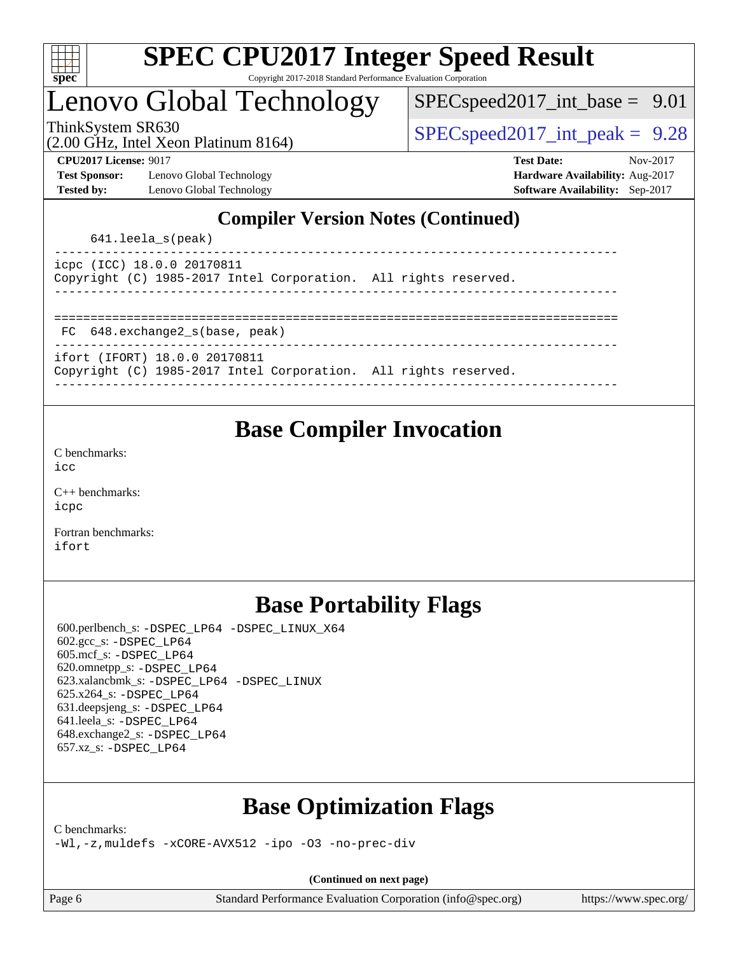

# Lenovo Global Technology

 $SPECspeed2017\_int\_base = 9.01$ 

(2.00 GHz, Intel Xeon Platinum 8164)

ThinkSystem SR630  $SPEC speed2017$  int peak = 9.28

**[Test Sponsor:](http://www.spec.org/auto/cpu2017/Docs/result-fields.html#TestSponsor)** Lenovo Global Technology **[Hardware Availability:](http://www.spec.org/auto/cpu2017/Docs/result-fields.html#HardwareAvailability)** Aug-2017 **[Tested by:](http://www.spec.org/auto/cpu2017/Docs/result-fields.html#Testedby)** Lenovo Global Technology **[Software Availability:](http://www.spec.org/auto/cpu2017/Docs/result-fields.html#SoftwareAvailability)** Sep-2017

**[CPU2017 License:](http://www.spec.org/auto/cpu2017/Docs/result-fields.html#CPU2017License)** 9017 **[Test Date:](http://www.spec.org/auto/cpu2017/Docs/result-fields.html#TestDate)** Nov-2017

## **[Compiler Version Notes \(Continued\)](http://www.spec.org/auto/cpu2017/Docs/result-fields.html#CompilerVersionNotes)**

641.leela\_s(peak)

|  | icpc (ICC) 18.0.0 20170811 |                                                                 |  |  |
|--|----------------------------|-----------------------------------------------------------------|--|--|
|  |                            | Copyright (C) 1985-2017 Intel Corporation. All rights reserved. |  |  |
|  |                            |                                                                 |  |  |

==============================================================================

FC 648.exchange2\_s(base, peak)

----------------------------------------------------------------------------- ifort (IFORT) 18.0.0 20170811

|  |  | Copyright (C) 1985-2017 Intel Corporation. All rights reserved. |  |  |
|--|--|-----------------------------------------------------------------|--|--|

------------------------------------------------------------------------------

## **[Base Compiler Invocation](http://www.spec.org/auto/cpu2017/Docs/result-fields.html#BaseCompilerInvocation)**

[C benchmarks](http://www.spec.org/auto/cpu2017/Docs/result-fields.html#Cbenchmarks): [icc](http://www.spec.org/cpu2017/results/res2017q4/cpu2017-20171128-01220.flags.html#user_CCbase_intel_icc_18.0_66fc1ee009f7361af1fbd72ca7dcefbb700085f36577c54f309893dd4ec40d12360134090235512931783d35fd58c0460139e722d5067c5574d8eaf2b3e37e92)

[C++ benchmarks:](http://www.spec.org/auto/cpu2017/Docs/result-fields.html#CXXbenchmarks) [icpc](http://www.spec.org/cpu2017/results/res2017q4/cpu2017-20171128-01220.flags.html#user_CXXbase_intel_icpc_18.0_c510b6838c7f56d33e37e94d029a35b4a7bccf4766a728ee175e80a419847e808290a9b78be685c44ab727ea267ec2f070ec5dc83b407c0218cded6866a35d07)

[Fortran benchmarks](http://www.spec.org/auto/cpu2017/Docs/result-fields.html#Fortranbenchmarks): [ifort](http://www.spec.org/cpu2017/results/res2017q4/cpu2017-20171128-01220.flags.html#user_FCbase_intel_ifort_18.0_8111460550e3ca792625aed983ce982f94888b8b503583aa7ba2b8303487b4d8a21a13e7191a45c5fd58ff318f48f9492884d4413fa793fd88dd292cad7027ca)

# **[Base Portability Flags](http://www.spec.org/auto/cpu2017/Docs/result-fields.html#BasePortabilityFlags)**

 600.perlbench\_s: [-DSPEC\\_LP64](http://www.spec.org/cpu2017/results/res2017q4/cpu2017-20171128-01220.flags.html#b600.perlbench_s_basePORTABILITY_DSPEC_LP64) [-DSPEC\\_LINUX\\_X64](http://www.spec.org/cpu2017/results/res2017q4/cpu2017-20171128-01220.flags.html#b600.perlbench_s_baseCPORTABILITY_DSPEC_LINUX_X64) 602.gcc\_s: [-DSPEC\\_LP64](http://www.spec.org/cpu2017/results/res2017q4/cpu2017-20171128-01220.flags.html#suite_basePORTABILITY602_gcc_s_DSPEC_LP64) 605.mcf\_s: [-DSPEC\\_LP64](http://www.spec.org/cpu2017/results/res2017q4/cpu2017-20171128-01220.flags.html#suite_basePORTABILITY605_mcf_s_DSPEC_LP64) 620.omnetpp\_s: [-DSPEC\\_LP64](http://www.spec.org/cpu2017/results/res2017q4/cpu2017-20171128-01220.flags.html#suite_basePORTABILITY620_omnetpp_s_DSPEC_LP64) 623.xalancbmk\_s: [-DSPEC\\_LP64](http://www.spec.org/cpu2017/results/res2017q4/cpu2017-20171128-01220.flags.html#suite_basePORTABILITY623_xalancbmk_s_DSPEC_LP64) [-DSPEC\\_LINUX](http://www.spec.org/cpu2017/results/res2017q4/cpu2017-20171128-01220.flags.html#b623.xalancbmk_s_baseCXXPORTABILITY_DSPEC_LINUX) 625.x264\_s: [-DSPEC\\_LP64](http://www.spec.org/cpu2017/results/res2017q4/cpu2017-20171128-01220.flags.html#suite_basePORTABILITY625_x264_s_DSPEC_LP64) 631.deepsjeng\_s: [-DSPEC\\_LP64](http://www.spec.org/cpu2017/results/res2017q4/cpu2017-20171128-01220.flags.html#suite_basePORTABILITY631_deepsjeng_s_DSPEC_LP64) 641.leela\_s: [-DSPEC\\_LP64](http://www.spec.org/cpu2017/results/res2017q4/cpu2017-20171128-01220.flags.html#suite_basePORTABILITY641_leela_s_DSPEC_LP64) 648.exchange2\_s: [-DSPEC\\_LP64](http://www.spec.org/cpu2017/results/res2017q4/cpu2017-20171128-01220.flags.html#suite_basePORTABILITY648_exchange2_s_DSPEC_LP64) 657.xz\_s: [-DSPEC\\_LP64](http://www.spec.org/cpu2017/results/res2017q4/cpu2017-20171128-01220.flags.html#suite_basePORTABILITY657_xz_s_DSPEC_LP64)

## **[Base Optimization Flags](http://www.spec.org/auto/cpu2017/Docs/result-fields.html#BaseOptimizationFlags)**

[C benchmarks](http://www.spec.org/auto/cpu2017/Docs/result-fields.html#Cbenchmarks):

[-Wl,-z,muldefs](http://www.spec.org/cpu2017/results/res2017q4/cpu2017-20171128-01220.flags.html#user_CCbase_link_force_multiple1_b4cbdb97b34bdee9ceefcfe54f4c8ea74255f0b02a4b23e853cdb0e18eb4525ac79b5a88067c842dd0ee6996c24547a27a4b99331201badda8798ef8a743f577) [-xCORE-AVX512](http://www.spec.org/cpu2017/results/res2017q4/cpu2017-20171128-01220.flags.html#user_CCbase_f-xCORE-AVX512) [-ipo](http://www.spec.org/cpu2017/results/res2017q4/cpu2017-20171128-01220.flags.html#user_CCbase_f-ipo) [-O3](http://www.spec.org/cpu2017/results/res2017q4/cpu2017-20171128-01220.flags.html#user_CCbase_f-O3) [-no-prec-div](http://www.spec.org/cpu2017/results/res2017q4/cpu2017-20171128-01220.flags.html#user_CCbase_f-no-prec-div)

**(Continued on next page)**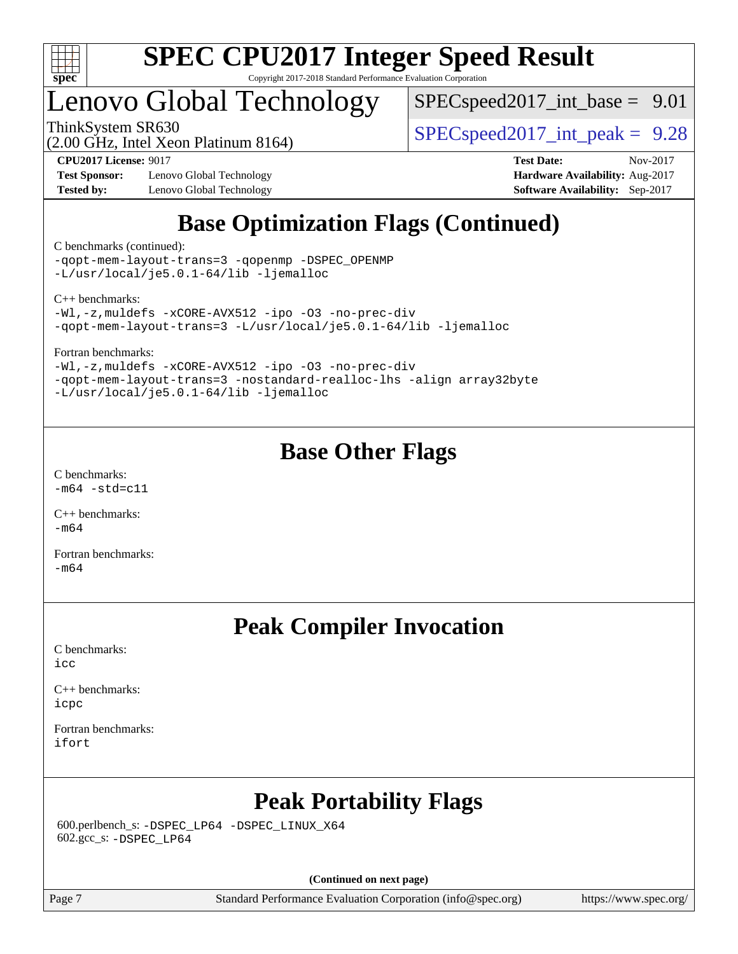

# Lenovo Global Technology

 $SPECspeed2017\_int\_base = 9.01$ 

(2.00 GHz, Intel Xeon Platinum 8164)

ThinkSystem SR630  $SPEC speed2017$  int peak = 9.28

**[Test Sponsor:](http://www.spec.org/auto/cpu2017/Docs/result-fields.html#TestSponsor)** Lenovo Global Technology **[Hardware Availability:](http://www.spec.org/auto/cpu2017/Docs/result-fields.html#HardwareAvailability)** Aug-2017 **[Tested by:](http://www.spec.org/auto/cpu2017/Docs/result-fields.html#Testedby)** Lenovo Global Technology **[Software Availability:](http://www.spec.org/auto/cpu2017/Docs/result-fields.html#SoftwareAvailability)** Sep-2017

**[CPU2017 License:](http://www.spec.org/auto/cpu2017/Docs/result-fields.html#CPU2017License)** 9017 **[Test Date:](http://www.spec.org/auto/cpu2017/Docs/result-fields.html#TestDate)** Nov-2017

# **[Base Optimization Flags \(Continued\)](http://www.spec.org/auto/cpu2017/Docs/result-fields.html#BaseOptimizationFlags)**

[C benchmarks](http://www.spec.org/auto/cpu2017/Docs/result-fields.html#Cbenchmarks) (continued):

[-qopt-mem-layout-trans=3](http://www.spec.org/cpu2017/results/res2017q4/cpu2017-20171128-01220.flags.html#user_CCbase_f-qopt-mem-layout-trans_de80db37974c74b1f0e20d883f0b675c88c3b01e9d123adea9b28688d64333345fb62bc4a798493513fdb68f60282f9a726aa07f478b2f7113531aecce732043) [-qopenmp](http://www.spec.org/cpu2017/results/res2017q4/cpu2017-20171128-01220.flags.html#user_CCbase_qopenmp_16be0c44f24f464004c6784a7acb94aca937f053568ce72f94b139a11c7c168634a55f6653758ddd83bcf7b8463e8028bb0b48b77bcddc6b78d5d95bb1df2967) [-DSPEC\\_OPENMP](http://www.spec.org/cpu2017/results/res2017q4/cpu2017-20171128-01220.flags.html#suite_CCbase_DSPEC_OPENMP) [-L/usr/local/je5.0.1-64/lib](http://www.spec.org/cpu2017/results/res2017q4/cpu2017-20171128-01220.flags.html#user_CCbase_jemalloc_link_path64_4b10a636b7bce113509b17f3bd0d6226c5fb2346b9178c2d0232c14f04ab830f976640479e5c33dc2bcbbdad86ecfb6634cbbd4418746f06f368b512fced5394) [-ljemalloc](http://www.spec.org/cpu2017/results/res2017q4/cpu2017-20171128-01220.flags.html#user_CCbase_jemalloc_link_lib_d1249b907c500fa1c0672f44f562e3d0f79738ae9e3c4a9c376d49f265a04b9c99b167ecedbf6711b3085be911c67ff61f150a17b3472be731631ba4d0471706)

[C++ benchmarks:](http://www.spec.org/auto/cpu2017/Docs/result-fields.html#CXXbenchmarks)

[-Wl,-z,muldefs](http://www.spec.org/cpu2017/results/res2017q4/cpu2017-20171128-01220.flags.html#user_CXXbase_link_force_multiple1_b4cbdb97b34bdee9ceefcfe54f4c8ea74255f0b02a4b23e853cdb0e18eb4525ac79b5a88067c842dd0ee6996c24547a27a4b99331201badda8798ef8a743f577) [-xCORE-AVX512](http://www.spec.org/cpu2017/results/res2017q4/cpu2017-20171128-01220.flags.html#user_CXXbase_f-xCORE-AVX512) [-ipo](http://www.spec.org/cpu2017/results/res2017q4/cpu2017-20171128-01220.flags.html#user_CXXbase_f-ipo) [-O3](http://www.spec.org/cpu2017/results/res2017q4/cpu2017-20171128-01220.flags.html#user_CXXbase_f-O3) [-no-prec-div](http://www.spec.org/cpu2017/results/res2017q4/cpu2017-20171128-01220.flags.html#user_CXXbase_f-no-prec-div) [-qopt-mem-layout-trans=3](http://www.spec.org/cpu2017/results/res2017q4/cpu2017-20171128-01220.flags.html#user_CXXbase_f-qopt-mem-layout-trans_de80db37974c74b1f0e20d883f0b675c88c3b01e9d123adea9b28688d64333345fb62bc4a798493513fdb68f60282f9a726aa07f478b2f7113531aecce732043) [-L/usr/local/je5.0.1-64/lib](http://www.spec.org/cpu2017/results/res2017q4/cpu2017-20171128-01220.flags.html#user_CXXbase_jemalloc_link_path64_4b10a636b7bce113509b17f3bd0d6226c5fb2346b9178c2d0232c14f04ab830f976640479e5c33dc2bcbbdad86ecfb6634cbbd4418746f06f368b512fced5394) [-ljemalloc](http://www.spec.org/cpu2017/results/res2017q4/cpu2017-20171128-01220.flags.html#user_CXXbase_jemalloc_link_lib_d1249b907c500fa1c0672f44f562e3d0f79738ae9e3c4a9c376d49f265a04b9c99b167ecedbf6711b3085be911c67ff61f150a17b3472be731631ba4d0471706)

[Fortran benchmarks](http://www.spec.org/auto/cpu2017/Docs/result-fields.html#Fortranbenchmarks):

[-Wl,-z,muldefs](http://www.spec.org/cpu2017/results/res2017q4/cpu2017-20171128-01220.flags.html#user_FCbase_link_force_multiple1_b4cbdb97b34bdee9ceefcfe54f4c8ea74255f0b02a4b23e853cdb0e18eb4525ac79b5a88067c842dd0ee6996c24547a27a4b99331201badda8798ef8a743f577) [-xCORE-AVX512](http://www.spec.org/cpu2017/results/res2017q4/cpu2017-20171128-01220.flags.html#user_FCbase_f-xCORE-AVX512) [-ipo](http://www.spec.org/cpu2017/results/res2017q4/cpu2017-20171128-01220.flags.html#user_FCbase_f-ipo) [-O3](http://www.spec.org/cpu2017/results/res2017q4/cpu2017-20171128-01220.flags.html#user_FCbase_f-O3) [-no-prec-div](http://www.spec.org/cpu2017/results/res2017q4/cpu2017-20171128-01220.flags.html#user_FCbase_f-no-prec-div) [-qopt-mem-layout-trans=3](http://www.spec.org/cpu2017/results/res2017q4/cpu2017-20171128-01220.flags.html#user_FCbase_f-qopt-mem-layout-trans_de80db37974c74b1f0e20d883f0b675c88c3b01e9d123adea9b28688d64333345fb62bc4a798493513fdb68f60282f9a726aa07f478b2f7113531aecce732043) [-nostandard-realloc-lhs](http://www.spec.org/cpu2017/results/res2017q4/cpu2017-20171128-01220.flags.html#user_FCbase_f_2003_std_realloc_82b4557e90729c0f113870c07e44d33d6f5a304b4f63d4c15d2d0f1fab99f5daaed73bdb9275d9ae411527f28b936061aa8b9c8f2d63842963b95c9dd6426b8a) [-align array32byte](http://www.spec.org/cpu2017/results/res2017q4/cpu2017-20171128-01220.flags.html#user_FCbase_align_array32byte_b982fe038af199962ba9a80c053b8342c548c85b40b8e86eb3cc33dee0d7986a4af373ac2d51c3f7cf710a18d62fdce2948f201cd044323541f22fc0fffc51b6) [-L/usr/local/je5.0.1-64/lib](http://www.spec.org/cpu2017/results/res2017q4/cpu2017-20171128-01220.flags.html#user_FCbase_jemalloc_link_path64_4b10a636b7bce113509b17f3bd0d6226c5fb2346b9178c2d0232c14f04ab830f976640479e5c33dc2bcbbdad86ecfb6634cbbd4418746f06f368b512fced5394) [-ljemalloc](http://www.spec.org/cpu2017/results/res2017q4/cpu2017-20171128-01220.flags.html#user_FCbase_jemalloc_link_lib_d1249b907c500fa1c0672f44f562e3d0f79738ae9e3c4a9c376d49f265a04b9c99b167ecedbf6711b3085be911c67ff61f150a17b3472be731631ba4d0471706)

## **[Base Other Flags](http://www.spec.org/auto/cpu2017/Docs/result-fields.html#BaseOtherFlags)**

[C benchmarks](http://www.spec.org/auto/cpu2017/Docs/result-fields.html#Cbenchmarks):  $-m64 - std= c11$  $-m64 - std= c11$ 

[C++ benchmarks:](http://www.spec.org/auto/cpu2017/Docs/result-fields.html#CXXbenchmarks) [-m64](http://www.spec.org/cpu2017/results/res2017q4/cpu2017-20171128-01220.flags.html#user_CXXbase_intel_intel64_18.0_af43caccfc8ded86e7699f2159af6efc7655f51387b94da716254467f3c01020a5059329e2569e4053f409e7c9202a7efc638f7a6d1ffb3f52dea4a3e31d82ab)

[Fortran benchmarks](http://www.spec.org/auto/cpu2017/Docs/result-fields.html#Fortranbenchmarks):  $-m64$ 

## **[Peak Compiler Invocation](http://www.spec.org/auto/cpu2017/Docs/result-fields.html#PeakCompilerInvocation)**

[C benchmarks](http://www.spec.org/auto/cpu2017/Docs/result-fields.html#Cbenchmarks): [icc](http://www.spec.org/cpu2017/results/res2017q4/cpu2017-20171128-01220.flags.html#user_CCpeak_intel_icc_18.0_66fc1ee009f7361af1fbd72ca7dcefbb700085f36577c54f309893dd4ec40d12360134090235512931783d35fd58c0460139e722d5067c5574d8eaf2b3e37e92)

[C++ benchmarks:](http://www.spec.org/auto/cpu2017/Docs/result-fields.html#CXXbenchmarks) [icpc](http://www.spec.org/cpu2017/results/res2017q4/cpu2017-20171128-01220.flags.html#user_CXXpeak_intel_icpc_18.0_c510b6838c7f56d33e37e94d029a35b4a7bccf4766a728ee175e80a419847e808290a9b78be685c44ab727ea267ec2f070ec5dc83b407c0218cded6866a35d07)

[Fortran benchmarks](http://www.spec.org/auto/cpu2017/Docs/result-fields.html#Fortranbenchmarks): [ifort](http://www.spec.org/cpu2017/results/res2017q4/cpu2017-20171128-01220.flags.html#user_FCpeak_intel_ifort_18.0_8111460550e3ca792625aed983ce982f94888b8b503583aa7ba2b8303487b4d8a21a13e7191a45c5fd58ff318f48f9492884d4413fa793fd88dd292cad7027ca)

## **[Peak Portability Flags](http://www.spec.org/auto/cpu2017/Docs/result-fields.html#PeakPortabilityFlags)**

 600.perlbench\_s: [-DSPEC\\_LP64](http://www.spec.org/cpu2017/results/res2017q4/cpu2017-20171128-01220.flags.html#b600.perlbench_s_peakPORTABILITY_DSPEC_LP64) [-DSPEC\\_LINUX\\_X64](http://www.spec.org/cpu2017/results/res2017q4/cpu2017-20171128-01220.flags.html#b600.perlbench_s_peakCPORTABILITY_DSPEC_LINUX_X64) 602.gcc\_s: [-DSPEC\\_LP64](http://www.spec.org/cpu2017/results/res2017q4/cpu2017-20171128-01220.flags.html#suite_peakPORTABILITY602_gcc_s_DSPEC_LP64)

**(Continued on next page)**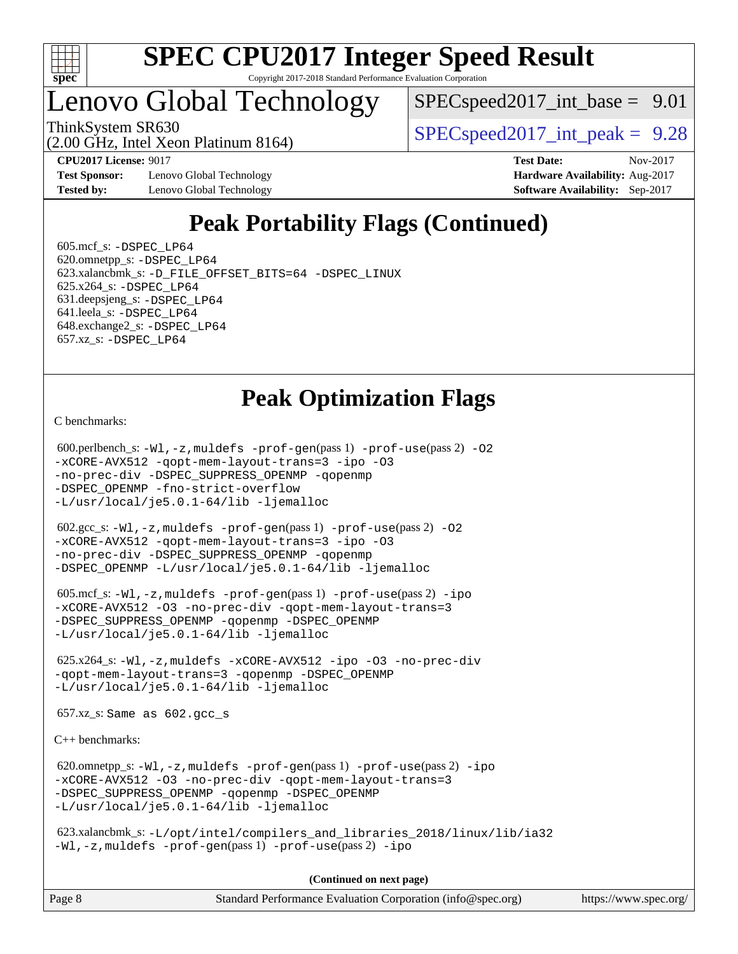

# Lenovo Global Technology

 $SPECspeed2017\_int\_base = 9.01$ 

(2.00 GHz, Intel Xeon Platinum 8164)

ThinkSystem SR630  $SPEC speed2017$  int peak = 9.28

**[Test Sponsor:](http://www.spec.org/auto/cpu2017/Docs/result-fields.html#TestSponsor)** Lenovo Global Technology **[Hardware Availability:](http://www.spec.org/auto/cpu2017/Docs/result-fields.html#HardwareAvailability)** Aug-2017 **[Tested by:](http://www.spec.org/auto/cpu2017/Docs/result-fields.html#Testedby)** Lenovo Global Technology **[Software Availability:](http://www.spec.org/auto/cpu2017/Docs/result-fields.html#SoftwareAvailability)** Sep-2017

**[CPU2017 License:](http://www.spec.org/auto/cpu2017/Docs/result-fields.html#CPU2017License)** 9017 **[Test Date:](http://www.spec.org/auto/cpu2017/Docs/result-fields.html#TestDate)** Nov-2017

# **[Peak Portability Flags \(Continued\)](http://www.spec.org/auto/cpu2017/Docs/result-fields.html#PeakPortabilityFlags)**

 605.mcf\_s: [-DSPEC\\_LP64](http://www.spec.org/cpu2017/results/res2017q4/cpu2017-20171128-01220.flags.html#suite_peakPORTABILITY605_mcf_s_DSPEC_LP64) 620.omnetpp\_s: [-DSPEC\\_LP64](http://www.spec.org/cpu2017/results/res2017q4/cpu2017-20171128-01220.flags.html#suite_peakPORTABILITY620_omnetpp_s_DSPEC_LP64) 623.xalancbmk\_s: [-D\\_FILE\\_OFFSET\\_BITS=64](http://www.spec.org/cpu2017/results/res2017q4/cpu2017-20171128-01220.flags.html#user_peakPORTABILITY623_xalancbmk_s_file_offset_bits_64_5ae949a99b284ddf4e95728d47cb0843d81b2eb0e18bdfe74bbf0f61d0b064f4bda2f10ea5eb90e1dcab0e84dbc592acfc5018bc955c18609f94ddb8d550002c) [-DSPEC\\_LINUX](http://www.spec.org/cpu2017/results/res2017q4/cpu2017-20171128-01220.flags.html#b623.xalancbmk_s_peakCXXPORTABILITY_DSPEC_LINUX) 625.x264\_s: [-DSPEC\\_LP64](http://www.spec.org/cpu2017/results/res2017q4/cpu2017-20171128-01220.flags.html#suite_peakPORTABILITY625_x264_s_DSPEC_LP64) 631.deepsjeng\_s: [-DSPEC\\_LP64](http://www.spec.org/cpu2017/results/res2017q4/cpu2017-20171128-01220.flags.html#suite_peakPORTABILITY631_deepsjeng_s_DSPEC_LP64) 641.leela\_s: [-DSPEC\\_LP64](http://www.spec.org/cpu2017/results/res2017q4/cpu2017-20171128-01220.flags.html#suite_peakPORTABILITY641_leela_s_DSPEC_LP64) 648.exchange2\_s: [-DSPEC\\_LP64](http://www.spec.org/cpu2017/results/res2017q4/cpu2017-20171128-01220.flags.html#suite_peakPORTABILITY648_exchange2_s_DSPEC_LP64) 657.xz\_s: [-DSPEC\\_LP64](http://www.spec.org/cpu2017/results/res2017q4/cpu2017-20171128-01220.flags.html#suite_peakPORTABILITY657_xz_s_DSPEC_LP64)

## **[Peak Optimization Flags](http://www.spec.org/auto/cpu2017/Docs/result-fields.html#PeakOptimizationFlags)**

[C benchmarks](http://www.spec.org/auto/cpu2017/Docs/result-fields.html#Cbenchmarks):

 600.perlbench\_s: [-Wl,-z,muldefs](http://www.spec.org/cpu2017/results/res2017q4/cpu2017-20171128-01220.flags.html#user_peakEXTRA_LDFLAGS600_perlbench_s_link_force_multiple1_b4cbdb97b34bdee9ceefcfe54f4c8ea74255f0b02a4b23e853cdb0e18eb4525ac79b5a88067c842dd0ee6996c24547a27a4b99331201badda8798ef8a743f577) [-prof-gen](http://www.spec.org/cpu2017/results/res2017q4/cpu2017-20171128-01220.flags.html#user_peakPASS1_CFLAGSPASS1_LDFLAGS600_perlbench_s_prof_gen_5aa4926d6013ddb2a31985c654b3eb18169fc0c6952a63635c234f711e6e63dd76e94ad52365559451ec499a2cdb89e4dc58ba4c67ef54ca681ffbe1461d6b36)(pass 1) [-prof-use](http://www.spec.org/cpu2017/results/res2017q4/cpu2017-20171128-01220.flags.html#user_peakPASS2_CFLAGSPASS2_LDFLAGS600_perlbench_s_prof_use_1a21ceae95f36a2b53c25747139a6c16ca95bd9def2a207b4f0849963b97e94f5260e30a0c64f4bb623698870e679ca08317ef8150905d41bd88c6f78df73f19)(pass 2) [-O2](http://www.spec.org/cpu2017/results/res2017q4/cpu2017-20171128-01220.flags.html#user_peakPASS1_COPTIMIZE600_perlbench_s_f-O2) [-xCORE-AVX512](http://www.spec.org/cpu2017/results/res2017q4/cpu2017-20171128-01220.flags.html#user_peakPASS2_COPTIMIZE600_perlbench_s_f-xCORE-AVX512) [-qopt-mem-layout-trans=3](http://www.spec.org/cpu2017/results/res2017q4/cpu2017-20171128-01220.flags.html#user_peakPASS1_COPTIMIZEPASS2_COPTIMIZE600_perlbench_s_f-qopt-mem-layout-trans_de80db37974c74b1f0e20d883f0b675c88c3b01e9d123adea9b28688d64333345fb62bc4a798493513fdb68f60282f9a726aa07f478b2f7113531aecce732043) [-ipo](http://www.spec.org/cpu2017/results/res2017q4/cpu2017-20171128-01220.flags.html#user_peakPASS2_COPTIMIZE600_perlbench_s_f-ipo) [-O3](http://www.spec.org/cpu2017/results/res2017q4/cpu2017-20171128-01220.flags.html#user_peakPASS2_COPTIMIZE600_perlbench_s_f-O3) [-no-prec-div](http://www.spec.org/cpu2017/results/res2017q4/cpu2017-20171128-01220.flags.html#user_peakPASS2_COPTIMIZE600_perlbench_s_f-no-prec-div) [-DSPEC\\_SUPPRESS\\_OPENMP](http://www.spec.org/cpu2017/results/res2017q4/cpu2017-20171128-01220.flags.html#suite_peakPASS1_COPTIMIZE600_perlbench_s_DSPEC_SUPPRESS_OPENMP) [-qopenmp](http://www.spec.org/cpu2017/results/res2017q4/cpu2017-20171128-01220.flags.html#user_peakPASS2_COPTIMIZE600_perlbench_s_qopenmp_16be0c44f24f464004c6784a7acb94aca937f053568ce72f94b139a11c7c168634a55f6653758ddd83bcf7b8463e8028bb0b48b77bcddc6b78d5d95bb1df2967) [-DSPEC\\_OPENMP](http://www.spec.org/cpu2017/results/res2017q4/cpu2017-20171128-01220.flags.html#suite_peakPASS2_COPTIMIZE600_perlbench_s_DSPEC_OPENMP) [-fno-strict-overflow](http://www.spec.org/cpu2017/results/res2017q4/cpu2017-20171128-01220.flags.html#user_peakEXTRA_OPTIMIZE600_perlbench_s_f-fno-strict-overflow) [-L/usr/local/je5.0.1-64/lib](http://www.spec.org/cpu2017/results/res2017q4/cpu2017-20171128-01220.flags.html#user_peakEXTRA_LIBS600_perlbench_s_jemalloc_link_path64_4b10a636b7bce113509b17f3bd0d6226c5fb2346b9178c2d0232c14f04ab830f976640479e5c33dc2bcbbdad86ecfb6634cbbd4418746f06f368b512fced5394) [-ljemalloc](http://www.spec.org/cpu2017/results/res2017q4/cpu2017-20171128-01220.flags.html#user_peakEXTRA_LIBS600_perlbench_s_jemalloc_link_lib_d1249b907c500fa1c0672f44f562e3d0f79738ae9e3c4a9c376d49f265a04b9c99b167ecedbf6711b3085be911c67ff61f150a17b3472be731631ba4d0471706)

 602.gcc\_s: [-Wl,-z,muldefs](http://www.spec.org/cpu2017/results/res2017q4/cpu2017-20171128-01220.flags.html#user_peakEXTRA_LDFLAGS602_gcc_s_link_force_multiple1_b4cbdb97b34bdee9ceefcfe54f4c8ea74255f0b02a4b23e853cdb0e18eb4525ac79b5a88067c842dd0ee6996c24547a27a4b99331201badda8798ef8a743f577) [-prof-gen](http://www.spec.org/cpu2017/results/res2017q4/cpu2017-20171128-01220.flags.html#user_peakPASS1_CFLAGSPASS1_LDFLAGS602_gcc_s_prof_gen_5aa4926d6013ddb2a31985c654b3eb18169fc0c6952a63635c234f711e6e63dd76e94ad52365559451ec499a2cdb89e4dc58ba4c67ef54ca681ffbe1461d6b36)(pass 1) [-prof-use](http://www.spec.org/cpu2017/results/res2017q4/cpu2017-20171128-01220.flags.html#user_peakPASS2_CFLAGSPASS2_LDFLAGS602_gcc_s_prof_use_1a21ceae95f36a2b53c25747139a6c16ca95bd9def2a207b4f0849963b97e94f5260e30a0c64f4bb623698870e679ca08317ef8150905d41bd88c6f78df73f19)(pass 2) [-O2](http://www.spec.org/cpu2017/results/res2017q4/cpu2017-20171128-01220.flags.html#user_peakPASS1_COPTIMIZE602_gcc_s_f-O2) [-xCORE-AVX512](http://www.spec.org/cpu2017/results/res2017q4/cpu2017-20171128-01220.flags.html#user_peakPASS2_COPTIMIZE602_gcc_s_f-xCORE-AVX512) [-qopt-mem-layout-trans=3](http://www.spec.org/cpu2017/results/res2017q4/cpu2017-20171128-01220.flags.html#user_peakPASS1_COPTIMIZEPASS2_COPTIMIZE602_gcc_s_f-qopt-mem-layout-trans_de80db37974c74b1f0e20d883f0b675c88c3b01e9d123adea9b28688d64333345fb62bc4a798493513fdb68f60282f9a726aa07f478b2f7113531aecce732043) [-ipo](http://www.spec.org/cpu2017/results/res2017q4/cpu2017-20171128-01220.flags.html#user_peakPASS2_COPTIMIZE602_gcc_s_f-ipo) [-O3](http://www.spec.org/cpu2017/results/res2017q4/cpu2017-20171128-01220.flags.html#user_peakPASS2_COPTIMIZE602_gcc_s_f-O3) [-no-prec-div](http://www.spec.org/cpu2017/results/res2017q4/cpu2017-20171128-01220.flags.html#user_peakPASS2_COPTIMIZE602_gcc_s_f-no-prec-div) [-DSPEC\\_SUPPRESS\\_OPENMP](http://www.spec.org/cpu2017/results/res2017q4/cpu2017-20171128-01220.flags.html#suite_peakPASS1_COPTIMIZE602_gcc_s_DSPEC_SUPPRESS_OPENMP) [-qopenmp](http://www.spec.org/cpu2017/results/res2017q4/cpu2017-20171128-01220.flags.html#user_peakPASS2_COPTIMIZE602_gcc_s_qopenmp_16be0c44f24f464004c6784a7acb94aca937f053568ce72f94b139a11c7c168634a55f6653758ddd83bcf7b8463e8028bb0b48b77bcddc6b78d5d95bb1df2967) [-DSPEC\\_OPENMP](http://www.spec.org/cpu2017/results/res2017q4/cpu2017-20171128-01220.flags.html#suite_peakPASS2_COPTIMIZE602_gcc_s_DSPEC_OPENMP) [-L/usr/local/je5.0.1-64/lib](http://www.spec.org/cpu2017/results/res2017q4/cpu2017-20171128-01220.flags.html#user_peakEXTRA_LIBS602_gcc_s_jemalloc_link_path64_4b10a636b7bce113509b17f3bd0d6226c5fb2346b9178c2d0232c14f04ab830f976640479e5c33dc2bcbbdad86ecfb6634cbbd4418746f06f368b512fced5394) [-ljemalloc](http://www.spec.org/cpu2017/results/res2017q4/cpu2017-20171128-01220.flags.html#user_peakEXTRA_LIBS602_gcc_s_jemalloc_link_lib_d1249b907c500fa1c0672f44f562e3d0f79738ae9e3c4a9c376d49f265a04b9c99b167ecedbf6711b3085be911c67ff61f150a17b3472be731631ba4d0471706)

 605.mcf\_s: [-Wl,-z,muldefs](http://www.spec.org/cpu2017/results/res2017q4/cpu2017-20171128-01220.flags.html#user_peakEXTRA_LDFLAGS605_mcf_s_link_force_multiple1_b4cbdb97b34bdee9ceefcfe54f4c8ea74255f0b02a4b23e853cdb0e18eb4525ac79b5a88067c842dd0ee6996c24547a27a4b99331201badda8798ef8a743f577) [-prof-gen](http://www.spec.org/cpu2017/results/res2017q4/cpu2017-20171128-01220.flags.html#user_peakPASS1_CFLAGSPASS1_LDFLAGS605_mcf_s_prof_gen_5aa4926d6013ddb2a31985c654b3eb18169fc0c6952a63635c234f711e6e63dd76e94ad52365559451ec499a2cdb89e4dc58ba4c67ef54ca681ffbe1461d6b36)(pass 1) [-prof-use](http://www.spec.org/cpu2017/results/res2017q4/cpu2017-20171128-01220.flags.html#user_peakPASS2_CFLAGSPASS2_LDFLAGS605_mcf_s_prof_use_1a21ceae95f36a2b53c25747139a6c16ca95bd9def2a207b4f0849963b97e94f5260e30a0c64f4bb623698870e679ca08317ef8150905d41bd88c6f78df73f19)(pass 2) [-ipo](http://www.spec.org/cpu2017/results/res2017q4/cpu2017-20171128-01220.flags.html#user_peakPASS1_COPTIMIZEPASS2_COPTIMIZE605_mcf_s_f-ipo) [-xCORE-AVX512](http://www.spec.org/cpu2017/results/res2017q4/cpu2017-20171128-01220.flags.html#user_peakPASS2_COPTIMIZE605_mcf_s_f-xCORE-AVX512) [-O3](http://www.spec.org/cpu2017/results/res2017q4/cpu2017-20171128-01220.flags.html#user_peakPASS1_COPTIMIZEPASS2_COPTIMIZE605_mcf_s_f-O3) [-no-prec-div](http://www.spec.org/cpu2017/results/res2017q4/cpu2017-20171128-01220.flags.html#user_peakPASS1_COPTIMIZEPASS2_COPTIMIZE605_mcf_s_f-no-prec-div) [-qopt-mem-layout-trans=3](http://www.spec.org/cpu2017/results/res2017q4/cpu2017-20171128-01220.flags.html#user_peakPASS1_COPTIMIZEPASS2_COPTIMIZE605_mcf_s_f-qopt-mem-layout-trans_de80db37974c74b1f0e20d883f0b675c88c3b01e9d123adea9b28688d64333345fb62bc4a798493513fdb68f60282f9a726aa07f478b2f7113531aecce732043) [-DSPEC\\_SUPPRESS\\_OPENMP](http://www.spec.org/cpu2017/results/res2017q4/cpu2017-20171128-01220.flags.html#suite_peakPASS1_COPTIMIZE605_mcf_s_DSPEC_SUPPRESS_OPENMP) [-qopenmp](http://www.spec.org/cpu2017/results/res2017q4/cpu2017-20171128-01220.flags.html#user_peakPASS2_COPTIMIZE605_mcf_s_qopenmp_16be0c44f24f464004c6784a7acb94aca937f053568ce72f94b139a11c7c168634a55f6653758ddd83bcf7b8463e8028bb0b48b77bcddc6b78d5d95bb1df2967) [-DSPEC\\_OPENMP](http://www.spec.org/cpu2017/results/res2017q4/cpu2017-20171128-01220.flags.html#suite_peakPASS2_COPTIMIZE605_mcf_s_DSPEC_OPENMP) [-L/usr/local/je5.0.1-64/lib](http://www.spec.org/cpu2017/results/res2017q4/cpu2017-20171128-01220.flags.html#user_peakEXTRA_LIBS605_mcf_s_jemalloc_link_path64_4b10a636b7bce113509b17f3bd0d6226c5fb2346b9178c2d0232c14f04ab830f976640479e5c33dc2bcbbdad86ecfb6634cbbd4418746f06f368b512fced5394) [-ljemalloc](http://www.spec.org/cpu2017/results/res2017q4/cpu2017-20171128-01220.flags.html#user_peakEXTRA_LIBS605_mcf_s_jemalloc_link_lib_d1249b907c500fa1c0672f44f562e3d0f79738ae9e3c4a9c376d49f265a04b9c99b167ecedbf6711b3085be911c67ff61f150a17b3472be731631ba4d0471706)

 625.x264\_s: [-Wl,-z,muldefs](http://www.spec.org/cpu2017/results/res2017q4/cpu2017-20171128-01220.flags.html#user_peakEXTRA_LDFLAGS625_x264_s_link_force_multiple1_b4cbdb97b34bdee9ceefcfe54f4c8ea74255f0b02a4b23e853cdb0e18eb4525ac79b5a88067c842dd0ee6996c24547a27a4b99331201badda8798ef8a743f577) [-xCORE-AVX512](http://www.spec.org/cpu2017/results/res2017q4/cpu2017-20171128-01220.flags.html#user_peakCOPTIMIZE625_x264_s_f-xCORE-AVX512) [-ipo](http://www.spec.org/cpu2017/results/res2017q4/cpu2017-20171128-01220.flags.html#user_peakCOPTIMIZE625_x264_s_f-ipo) [-O3](http://www.spec.org/cpu2017/results/res2017q4/cpu2017-20171128-01220.flags.html#user_peakCOPTIMIZE625_x264_s_f-O3) [-no-prec-div](http://www.spec.org/cpu2017/results/res2017q4/cpu2017-20171128-01220.flags.html#user_peakCOPTIMIZE625_x264_s_f-no-prec-div) [-qopt-mem-layout-trans=3](http://www.spec.org/cpu2017/results/res2017q4/cpu2017-20171128-01220.flags.html#user_peakCOPTIMIZE625_x264_s_f-qopt-mem-layout-trans_de80db37974c74b1f0e20d883f0b675c88c3b01e9d123adea9b28688d64333345fb62bc4a798493513fdb68f60282f9a726aa07f478b2f7113531aecce732043) [-qopenmp](http://www.spec.org/cpu2017/results/res2017q4/cpu2017-20171128-01220.flags.html#user_peakCOPTIMIZE625_x264_s_qopenmp_16be0c44f24f464004c6784a7acb94aca937f053568ce72f94b139a11c7c168634a55f6653758ddd83bcf7b8463e8028bb0b48b77bcddc6b78d5d95bb1df2967) [-DSPEC\\_OPENMP](http://www.spec.org/cpu2017/results/res2017q4/cpu2017-20171128-01220.flags.html#suite_peakCOPTIMIZE625_x264_s_DSPEC_OPENMP) [-L/usr/local/je5.0.1-64/lib](http://www.spec.org/cpu2017/results/res2017q4/cpu2017-20171128-01220.flags.html#user_peakEXTRA_LIBS625_x264_s_jemalloc_link_path64_4b10a636b7bce113509b17f3bd0d6226c5fb2346b9178c2d0232c14f04ab830f976640479e5c33dc2bcbbdad86ecfb6634cbbd4418746f06f368b512fced5394) [-ljemalloc](http://www.spec.org/cpu2017/results/res2017q4/cpu2017-20171128-01220.flags.html#user_peakEXTRA_LIBS625_x264_s_jemalloc_link_lib_d1249b907c500fa1c0672f44f562e3d0f79738ae9e3c4a9c376d49f265a04b9c99b167ecedbf6711b3085be911c67ff61f150a17b3472be731631ba4d0471706)

657.xz\_s: Same as 602.gcc\_s

[C++ benchmarks:](http://www.spec.org/auto/cpu2017/Docs/result-fields.html#CXXbenchmarks)

 620.omnetpp\_s: [-Wl,-z,muldefs](http://www.spec.org/cpu2017/results/res2017q4/cpu2017-20171128-01220.flags.html#user_peakEXTRA_LDFLAGS620_omnetpp_s_link_force_multiple1_b4cbdb97b34bdee9ceefcfe54f4c8ea74255f0b02a4b23e853cdb0e18eb4525ac79b5a88067c842dd0ee6996c24547a27a4b99331201badda8798ef8a743f577) [-prof-gen](http://www.spec.org/cpu2017/results/res2017q4/cpu2017-20171128-01220.flags.html#user_peakPASS1_CXXFLAGSPASS1_LDFLAGS620_omnetpp_s_prof_gen_5aa4926d6013ddb2a31985c654b3eb18169fc0c6952a63635c234f711e6e63dd76e94ad52365559451ec499a2cdb89e4dc58ba4c67ef54ca681ffbe1461d6b36)(pass 1) [-prof-use](http://www.spec.org/cpu2017/results/res2017q4/cpu2017-20171128-01220.flags.html#user_peakPASS2_CXXFLAGSPASS2_LDFLAGS620_omnetpp_s_prof_use_1a21ceae95f36a2b53c25747139a6c16ca95bd9def2a207b4f0849963b97e94f5260e30a0c64f4bb623698870e679ca08317ef8150905d41bd88c6f78df73f19)(pass 2) [-ipo](http://www.spec.org/cpu2017/results/res2017q4/cpu2017-20171128-01220.flags.html#user_peakPASS1_CXXOPTIMIZEPASS2_CXXOPTIMIZE620_omnetpp_s_f-ipo) [-xCORE-AVX512](http://www.spec.org/cpu2017/results/res2017q4/cpu2017-20171128-01220.flags.html#user_peakPASS2_CXXOPTIMIZE620_omnetpp_s_f-xCORE-AVX512) [-O3](http://www.spec.org/cpu2017/results/res2017q4/cpu2017-20171128-01220.flags.html#user_peakPASS1_CXXOPTIMIZEPASS2_CXXOPTIMIZE620_omnetpp_s_f-O3) [-no-prec-div](http://www.spec.org/cpu2017/results/res2017q4/cpu2017-20171128-01220.flags.html#user_peakPASS1_CXXOPTIMIZEPASS2_CXXOPTIMIZE620_omnetpp_s_f-no-prec-div) [-qopt-mem-layout-trans=3](http://www.spec.org/cpu2017/results/res2017q4/cpu2017-20171128-01220.flags.html#user_peakPASS1_CXXOPTIMIZEPASS2_CXXOPTIMIZE620_omnetpp_s_f-qopt-mem-layout-trans_de80db37974c74b1f0e20d883f0b675c88c3b01e9d123adea9b28688d64333345fb62bc4a798493513fdb68f60282f9a726aa07f478b2f7113531aecce732043) [-DSPEC\\_SUPPRESS\\_OPENMP](http://www.spec.org/cpu2017/results/res2017q4/cpu2017-20171128-01220.flags.html#suite_peakPASS1_CXXOPTIMIZE620_omnetpp_s_DSPEC_SUPPRESS_OPENMP) [-qopenmp](http://www.spec.org/cpu2017/results/res2017q4/cpu2017-20171128-01220.flags.html#user_peakPASS2_CXXOPTIMIZE620_omnetpp_s_qopenmp_16be0c44f24f464004c6784a7acb94aca937f053568ce72f94b139a11c7c168634a55f6653758ddd83bcf7b8463e8028bb0b48b77bcddc6b78d5d95bb1df2967) [-DSPEC\\_OPENMP](http://www.spec.org/cpu2017/results/res2017q4/cpu2017-20171128-01220.flags.html#suite_peakPASS2_CXXOPTIMIZE620_omnetpp_s_DSPEC_OPENMP) [-L/usr/local/je5.0.1-64/lib](http://www.spec.org/cpu2017/results/res2017q4/cpu2017-20171128-01220.flags.html#user_peakEXTRA_LIBS620_omnetpp_s_jemalloc_link_path64_4b10a636b7bce113509b17f3bd0d6226c5fb2346b9178c2d0232c14f04ab830f976640479e5c33dc2bcbbdad86ecfb6634cbbd4418746f06f368b512fced5394) [-ljemalloc](http://www.spec.org/cpu2017/results/res2017q4/cpu2017-20171128-01220.flags.html#user_peakEXTRA_LIBS620_omnetpp_s_jemalloc_link_lib_d1249b907c500fa1c0672f44f562e3d0f79738ae9e3c4a9c376d49f265a04b9c99b167ecedbf6711b3085be911c67ff61f150a17b3472be731631ba4d0471706)

 623.xalancbmk\_s: [-L/opt/intel/compilers\\_and\\_libraries\\_2018/linux/lib/ia32](http://www.spec.org/cpu2017/results/res2017q4/cpu2017-20171128-01220.flags.html#user_peakCXXLD623_xalancbmk_s_Enable-32bit-runtime_af243bdb1d79e4c7a4f720bf8275e627de2ecd461de63307bc14cef0633fde3cd7bb2facb32dcc8be9566045fb55d40ce2b72b725f73827aa7833441b71b9343) [-Wl,-z,muldefs](http://www.spec.org/cpu2017/results/res2017q4/cpu2017-20171128-01220.flags.html#user_peakEXTRA_LDFLAGS623_xalancbmk_s_link_force_multiple1_b4cbdb97b34bdee9ceefcfe54f4c8ea74255f0b02a4b23e853cdb0e18eb4525ac79b5a88067c842dd0ee6996c24547a27a4b99331201badda8798ef8a743f577) [-prof-gen](http://www.spec.org/cpu2017/results/res2017q4/cpu2017-20171128-01220.flags.html#user_peakPASS1_CXXFLAGSPASS1_LDFLAGS623_xalancbmk_s_prof_gen_5aa4926d6013ddb2a31985c654b3eb18169fc0c6952a63635c234f711e6e63dd76e94ad52365559451ec499a2cdb89e4dc58ba4c67ef54ca681ffbe1461d6b36)(pass 1) [-prof-use](http://www.spec.org/cpu2017/results/res2017q4/cpu2017-20171128-01220.flags.html#user_peakPASS2_CXXFLAGSPASS2_LDFLAGS623_xalancbmk_s_prof_use_1a21ceae95f36a2b53c25747139a6c16ca95bd9def2a207b4f0849963b97e94f5260e30a0c64f4bb623698870e679ca08317ef8150905d41bd88c6f78df73f19)(pass 2) [-ipo](http://www.spec.org/cpu2017/results/res2017q4/cpu2017-20171128-01220.flags.html#user_peakPASS1_CXXOPTIMIZEPASS2_CXXOPTIMIZE623_xalancbmk_s_f-ipo)

Page 8 Standard Performance Evaluation Corporation [\(info@spec.org\)](mailto:info@spec.org) <https://www.spec.org/> **(Continued on next page)**